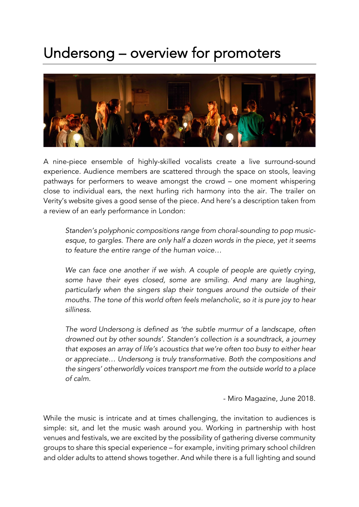## Undersong – overview for promoters



A nine-piece ensemble of highly-skilled vocalists create a live surround-sound experience. Audience members are scattered through the space on stools, leaving pathways for performers to weave amongst the crowd – one moment whispering close to individual ears, the next hurling rich harmony into the air. The trailer on Verity's website gives a good sense of the piece. And here's a description taken from a review of an early performance in London:

*Standen's polyphonic compositions range from choral-sounding to pop musicesque, to gargles. There are only half a dozen words in the piece, yet it seems to feature the entire range of the human voice…*

*We can face one another if we wish. A couple of people are quietly crying, some have their eyes closed, some are smiling. And many are laughing, particularly when the singers slap their tongues around the outside of their mouths. The tone of this world often feels melancholic, so it is pure joy to hear silliness.*

*The word Undersong is defined as 'the subtle murmur of a landscape, often drowned out by other sounds'. Standen's collection is a soundtrack, a journey that exposes an array of life's acoustics that we're often too busy to either hear or appreciate… Undersong is truly transformative. Both the compositions and the singers' otherworldly voices transport me from the outside world to a place of calm.*

- Miro Magazine, June 2018.

While the music is intricate and at times challenging, the invitation to audiences is simple: sit, and let the music wash around you. Working in partnership with host venues and festivals, we are excited by the possibility of gathering diverse community groups to share this special experience – for example, inviting primary school children and older adults to attend shows together. And while there is a full lighting and sound